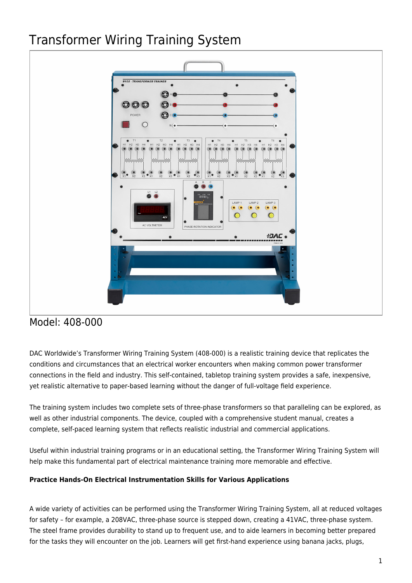# Transformer Wiring Training System



## Model: 408-000

DAC Worldwide's Transformer Wiring Training System (408-000) is a realistic training device that replicates the conditions and circumstances that an electrical worker encounters when making common power transformer connections in the field and industry. This self-contained, tabletop training system provides a safe, inexpensive, yet realistic alternative to paper-based learning without the danger of full-voltage field experience.

The training system includes two complete sets of three-phase transformers so that paralleling can be explored, as well as other industrial components. The device, coupled with a comprehensive student manual, creates a complete, self-paced learning system that reflects realistic industrial and commercial applications.

Useful within industrial training programs or in an educational setting, the Transformer Wiring Training System will help make this fundamental part of electrical maintenance training more memorable and effective.

### **Practice Hands-On Electrical Instrumentation Skills for Various Applications**

A wide variety of activities can be performed using the Transformer Wiring Training System, all at reduced voltages for safety – for example, a 208VAC, three-phase source is stepped down, creating a 41VAC, three-phase system. The steel frame provides durability to stand up to frequent use, and to aide learners in becoming better prepared for the tasks they will encounter on the job. Learners will get first-hand experience using banana jacks, plugs,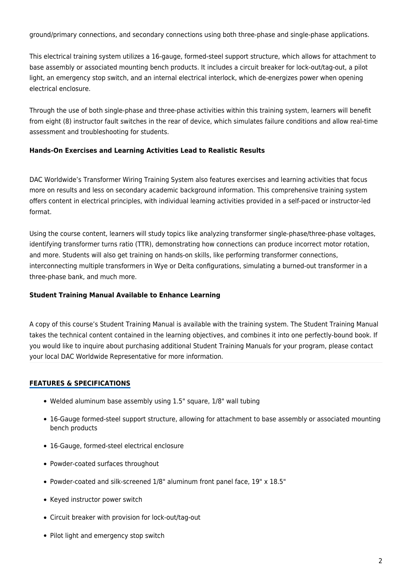ground/primary connections, and secondary connections using both three-phase and single-phase applications.

This electrical training system utilizes a 16-gauge, formed-steel support structure, which allows for attachment to base assembly or associated mounting bench products. It includes a circuit breaker for lock-out/tag-out, a pilot light, an emergency stop switch, and an internal electrical interlock, which de-energizes power when opening electrical enclosure.

Through the use of both single-phase and three-phase activities within this training system, learners will benefit from eight (8) instructor fault switches in the rear of device, which simulates failure conditions and allow real-time assessment and troubleshooting for students.

#### **Hands-On Exercises and Learning Activities Lead to Realistic Results**

DAC Worldwide's Transformer Wiring Training System also features exercises and learning activities that focus more on results and less on secondary academic background information. This comprehensive training system offers content in electrical principles, with individual learning activities provided in a self-paced or instructor-led format.

Using the course content, learners will study topics like analyzing transformer single-phase/three-phase voltages, identifying transformer turns ratio (TTR), demonstrating how connections can produce incorrect motor rotation, and more. Students will also get training on hands-on skills, like performing transformer connections, interconnecting multiple transformers in Wye or Delta configurations, simulating a burned-out transformer in a three-phase bank, and much more.

#### **Student Training Manual Available to Enhance Learning**

A copy of this course's Student Training Manual is available with the training system. The Student Training Manual takes the technical content contained in the learning objectives, and combines it into one perfectly-bound book. If you would like to inquire about purchasing additional Student Training Manuals for your program, please contact your local DAC Worldwide Representative for more information.

#### **FEATURES & SPECIFICATIONS**

- Welded aluminum base assembly using 1.5" square, 1/8" wall tubing
- 16-Gauge formed-steel support structure, allowing for attachment to base assembly or associated mounting bench products
- 16-Gauge, formed-steel electrical enclosure
- Powder-coated surfaces throughout
- Powder-coated and silk-screened 1/8" aluminum front panel face, 19" x 18.5"
- Keyed instructor power switch
- Circuit breaker with provision for lock-out/tag-out
- Pilot light and emergency stop switch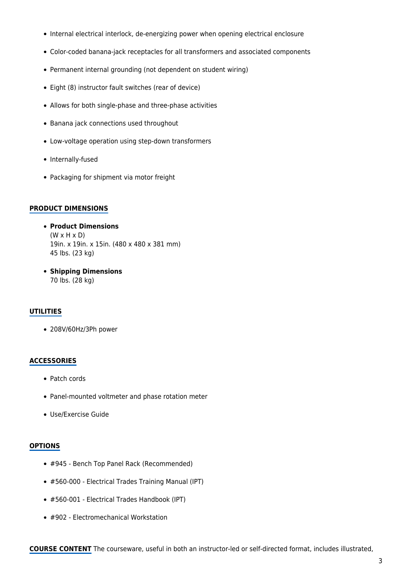- Internal electrical interlock, de-energizing power when opening electrical enclosure
- Color-coded banana-jack receptacles for all transformers and associated components
- Permanent internal grounding (not dependent on student wiring)
- Eight (8) instructor fault switches (rear of device)
- Allows for both single-phase and three-phase activities
- Banana jack connections used throughout
- Low-voltage operation using step-down transformers
- Internally-fused
- Packaging for shipment via motor freight

#### **PRODUCT DIMENSIONS**

- **Product Dimensions**  $(W \times H \times D)$ 19in. x 19in. x 15in. (480 x 480 x 381 mm) 45 lbs. (23 kg)
- **Shipping Dimensions** 70 lbs. (28 kg)

#### **UTILITIES**

208V/60Hz/3Ph power

#### **ACCESSORIES**

- Patch cords
- Panel-mounted voltmeter and phase rotation meter
- Use/Exercise Guide

#### **OPTIONS**

- #945 Bench Top Panel Rack (Recommended)
- #560-000 Electrical Trades Training Manual (IPT)
- #560-001 Electrical Trades Handbook (IPT)
- #902 Electromechanical Workstation

**COURSE CONTENT** The courseware, useful in both an instructor-led or self-directed format, includes illustrated,